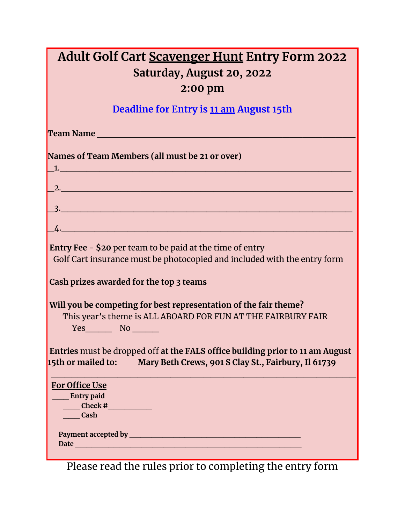| <b>Adult Golf Cart Scavenger Hunt Entry Form 2022</b> |
|-------------------------------------------------------|
| Saturday, August 20, 2022                             |
| 2:00 pm                                               |
| Deadline for Entry is 11 am August 15th               |
| Team Name                                             |
|                                                       |

| Names of Team Members (all must be 21 or over)                                                                                                                                                                                    |
|-----------------------------------------------------------------------------------------------------------------------------------------------------------------------------------------------------------------------------------|
| $\mathbf{1.}$ . The contract of the contract of the contract of the contract of the contract of the contract of the contract of the contract of the contract of the contract of the contract of the contract of the contract of t |
|                                                                                                                                                                                                                                   |
|                                                                                                                                                                                                                                   |
|                                                                                                                                                                                                                                   |
| $\frac{1}{2}$ .                                                                                                                                                                                                                   |
| <b>Entry Fee - \$20 per team to be paid at the time of entry</b>                                                                                                                                                                  |
| Golf Cart insurance must be photocopied and included with the entry form                                                                                                                                                          |
| Cash prizes awarded for the top 3 teams                                                                                                                                                                                           |
| Will you be competing for best representation of the fair theme?                                                                                                                                                                  |
| This year's theme is ALL ABOARD FOR FUN AT THE FAIRBURY FAIR                                                                                                                                                                      |
| $Yes$ No $\_\_$                                                                                                                                                                                                                   |
| Entries must be dropped off at the FALS office building prior to 11 am August                                                                                                                                                     |
| 15th or mailed to: Mary Beth Crews, 901 S Clay St., Fairbury, Il 61739                                                                                                                                                            |
| For Office Use                                                                                                                                                                                                                    |
| <b>Entry paid</b>                                                                                                                                                                                                                 |
| $\frac{1}{\sqrt{1-\frac{1}{2}}\cosh\left(\frac{1}{2}\right)}$                                                                                                                                                                     |
| <b>Cash</b>                                                                                                                                                                                                                       |
|                                                                                                                                                                                                                                   |
| Date https://www.archive.com/2010/01/2010 12:00:00 00:00 00:00 00:00 00:00 00:00 00:00 00:00 00:00 00:00 00:00                                                                                                                    |

Please read the rules prior to completing the entry form